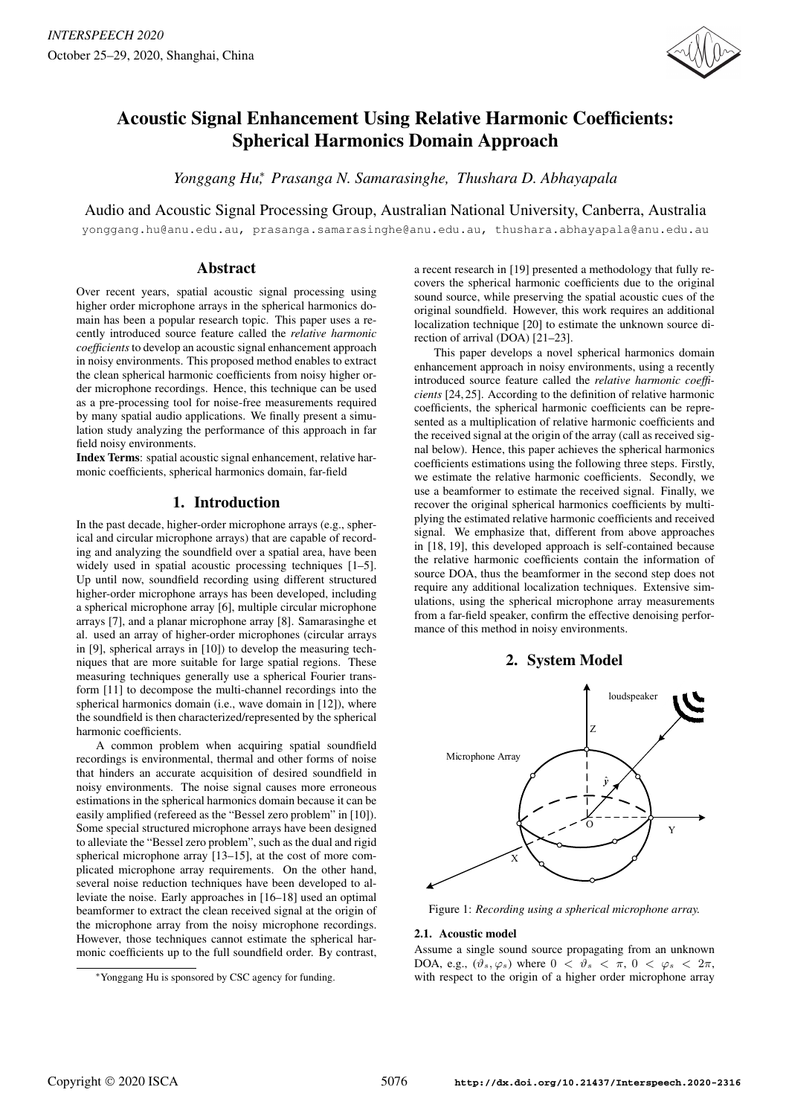

# Acoustic Signal Enhancement Using Relative Harmonic Coefficients: Spherical Harmonics Domain Approach

*Yonggang Hu*<sup>∗</sup> *, Prasanga N. Samarasinghe, Thushara D. Abhayapala*

Audio and Acoustic Signal Processing Group, Australian National University, Canberra, Australia

yonggang.hu@anu.edu.au, prasanga.samarasinghe@anu.edu.au, thushara.abhayapala@anu.edu.au

# Abstract

Over recent years, spatial acoustic signal processing using higher order microphone arrays in the spherical harmonics domain has been a popular research topic. This paper uses a recently introduced source feature called the *relative harmonic coefficients*to develop an acoustic signal enhancement approach in noisy environments. This proposed method enables to extract the clean spherical harmonic coefficients from noisy higher order microphone recordings. Hence, this technique can be used as a pre-processing tool for noise-free measurements required by many spatial audio applications. We finally present a simulation study analyzing the performance of this approach in far field noisy environments.

Index Terms: spatial acoustic signal enhancement, relative harmonic coefficients, spherical harmonics domain, far-field

# 1. Introduction

In the past decade, higher-order microphone arrays (e.g., spherical and circular microphone arrays) that are capable of recording and analyzing the soundfield over a spatial area, have been widely used in spatial acoustic processing techniques [1–5]. Up until now, soundfield recording using different structured higher-order microphone arrays has been developed, including a spherical microphone array [6], multiple circular microphone arrays [7], and a planar microphone array [8]. Samarasinghe et al. used an array of higher-order microphones (circular arrays in [9], spherical arrays in [10]) to develop the measuring techniques that are more suitable for large spatial regions. These measuring techniques generally use a spherical Fourier transform [11] to decompose the multi-channel recordings into the spherical harmonics domain (i.e., wave domain in [12]), where the soundfield is then characterized/represented by the spherical harmonic coefficients.

A common problem when acquiring spatial soundfield recordings is environmental, thermal and other forms of noise that hinders an accurate acquisition of desired soundfield in noisy environments. The noise signal causes more erroneous estimations in the spherical harmonics domain because it can be easily amplified (refereed as the "Bessel zero problem" in [10]). Some special structured microphone arrays have been designed to alleviate the "Bessel zero problem", such as the dual and rigid spherical microphone array [13–15], at the cost of more complicated microphone array requirements. On the other hand, several noise reduction techniques have been developed to alleviate the noise. Early approaches in [16–18] used an optimal beamformer to extract the clean received signal at the origin of the microphone array from the noisy microphone recordings. However, those techniques cannot estimate the spherical harmonic coefficients up to the full soundfield order. By contrast, a recent research in [19] presented a methodology that fully recovers the spherical harmonic coefficients due to the original sound source, while preserving the spatial acoustic cues of the original soundfield. However, this work requires an additional localization technique [20] to estimate the unknown source direction of arrival (DOA) [21–23].

This paper develops a novel spherical harmonics domain enhancement approach in noisy environments, using a recently introduced source feature called the *relative harmonic coefficients* [24, 25]. According to the definition of relative harmonic coefficients, the spherical harmonic coefficients can be represented as a multiplication of relative harmonic coefficients and the received signal at the origin of the array (call as received signal below). Hence, this paper achieves the spherical harmonics coefficients estimations using the following three steps. Firstly, we estimate the relative harmonic coefficients. Secondly, we use a beamformer to estimate the received signal. Finally, we recover the original spherical harmonics coefficients by multiplying the estimated relative harmonic coefficients and received signal. We emphasize that, different from above approaches in [18, 19], this developed approach is self-contained because the relative harmonic coefficients contain the information of source DOA, thus the beamformer in the second step does not require any additional localization techniques. Extensive simulations, using the spherical microphone array measurements from a far-field speaker, confirm the effective denoising performance of this method in noisy environments.

# 2. System Model



Figure 1: *Recording using a spherical microphone array.*

## 2.1. Acoustic model

Assume a single sound source propagating from an unknown DOA, e.g.,  $(\vartheta_s, \varphi_s)$  where  $0 < \vartheta_s < \pi$ ,  $0 < \varphi_s < 2\pi$ , with respect to the origin of a higher order microphone array

<sup>∗</sup>Yonggang Hu is sponsored by CSC agency for funding.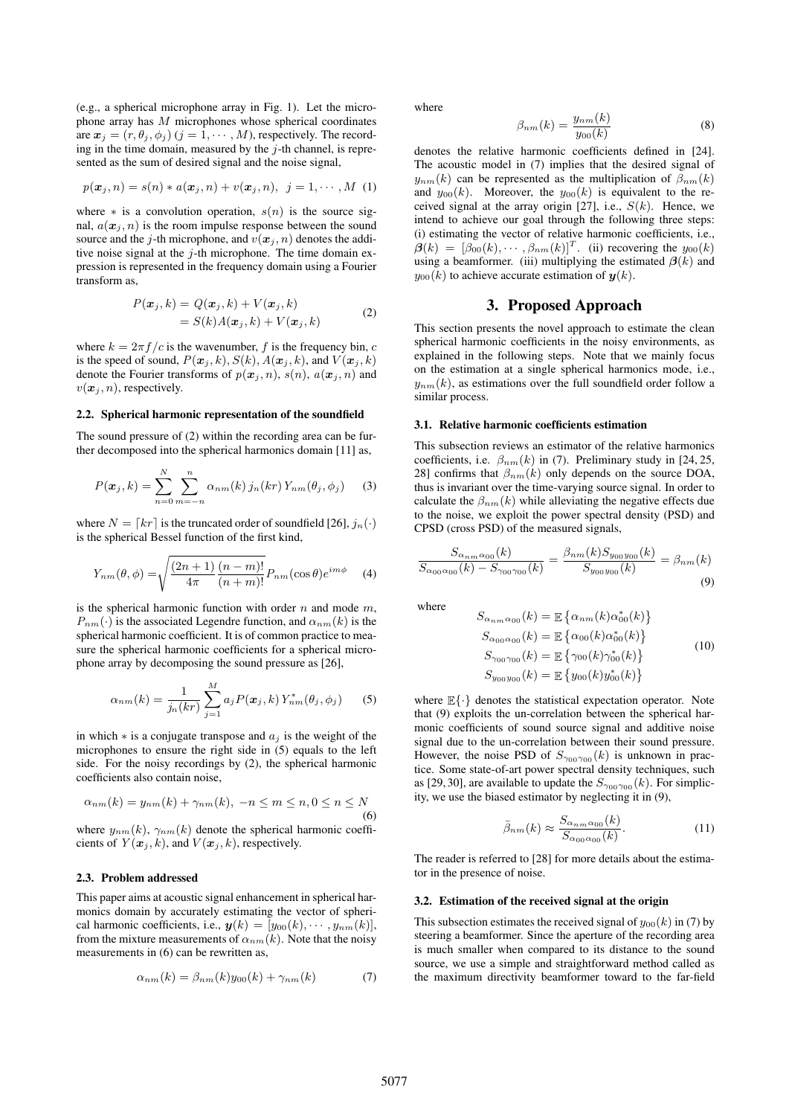(e.g., a spherical microphone array in Fig. 1). Let the microphone array has  $M$  microphones whose spherical coordinates are  $\mathbf{x}_j = (r, \theta_j, \phi_j)$   $(j = 1, \cdots, M)$ , respectively. The recording in the time domain, measured by the  $j$ -th channel, is represented as the sum of desired signal and the noise signal,

$$
p(\boldsymbol{x}_j,n)=s(n)*a(\boldsymbol{x}_j,n)+v(\boldsymbol{x}_j,n),\ \ j=1,\cdots,M\ \ (1)
$$

where  $*$  is a convolution operation,  $s(n)$  is the source signal,  $a(\mathbf{x}_i, n)$  is the room impulse response between the sound source and the j-th microphone, and  $v(x_j, n)$  denotes the additive noise signal at the  $j$ -th microphone. The time domain expression is represented in the frequency domain using a Fourier transform as,

$$
P(\boldsymbol{x}_j, k) = Q(\boldsymbol{x}_j, k) + V(\boldsymbol{x}_j, k)
$$
  
=  $S(k)A(\boldsymbol{x}_j, k) + V(\boldsymbol{x}_j, k)$  (2)

where  $k = 2\pi f/c$  is the wavenumber, f is the frequency bin, c is the speed of sound,  $P(\mathbf{x}_j, k)$ ,  $S(k)$ ,  $A(\mathbf{x}_j, k)$ , and  $V(\mathbf{x}_j, k)$ denote the Fourier transforms of  $p(x_j, n)$ ,  $s(n)$ ,  $a(x_j, n)$  and  $v(\mathbf{x}_i, n)$ , respectively.

#### 2.2. Spherical harmonic representation of the soundfield

The sound pressure of (2) within the recording area can be further decomposed into the spherical harmonics domain [11] as,

$$
P(\boldsymbol{x}_j, k) = \sum_{n=0}^{N} \sum_{m=-n}^{n} \alpha_{nm}(k) \, j_n(kr) \, Y_{nm}(\theta_j, \phi_j) \tag{3}
$$

where  $N = [kr]$  is the truncated order of soundfield [26],  $j_n(\cdot)$ is the spherical Bessel function of the first kind,

$$
Y_{nm}(\theta,\phi) = \sqrt{\frac{(2n+1)}{4\pi} \frac{(n-m)!}{(n+m)!}} P_{nm}(\cos\theta) e^{im\phi}
$$
 (4)

is the spherical harmonic function with order  $n$  and mode  $m$ ,  $P_{nm}(\cdot)$  is the associated Legendre function, and  $\alpha_{nm}(k)$  is the spherical harmonic coefficient. It is of common practice to measure the spherical harmonic coefficients for a spherical microphone array by decomposing the sound pressure as [26],

$$
\alpha_{nm}(k) = \frac{1}{j_n(kr)} \sum_{j=1}^{M} a_j P(\bm{x}_j, k) Y_{nm}^*(\theta_j, \phi_j)
$$
 (5)

in which  $*$  is a conjugate transpose and  $a_i$  is the weight of the microphones to ensure the right side in (5) equals to the left side. For the noisy recordings by (2), the spherical harmonic coefficients also contain noise,

$$
\alpha_{nm}(k) = y_{nm}(k) + \gamma_{nm}(k), \ -n \le m \le n, 0 \le n \le N
$$
\n<sup>(6)</sup>

where  $y_{nm}(k)$ ,  $\gamma_{nm}(k)$  denote the spherical harmonic coefficients of  $Y(\mathbf{x}_j, k)$ , and  $V(\mathbf{x}_j, k)$ , respectively.

### 2.3. Problem addressed

This paper aims at acoustic signal enhancement in spherical harmonics domain by accurately estimating the vector of spherical harmonic coefficients, i.e.,  $y(k)=[y_{00}(k), \cdots, y_{nm}(k)],$ from the mixture measurements of  $\alpha_{nm}(k)$ . Note that the noisy measurements in (6) can be rewritten as,

$$
\alpha_{nm}(k) = \beta_{nm}(k)y_{00}(k) + \gamma_{nm}(k) \tag{7}
$$

where

$$
\beta_{nm}(k) = \frac{y_{nm}(k)}{y_{00}(k)} \tag{8}
$$
 denotes the relative harmonic coefficients defined in [24].

The acoustic model in (7) implies that the desired signal of  $y_{nm}(k)$  can be represented as the multiplication of  $\beta_{nm}(k)$ and  $y_{00}(k)$ . Moreover, the  $y_{00}(k)$  is equivalent to the received signal at the array origin [27], i.e.,  $S(k)$ . Hence, we intend to achieve our goal through the following three steps: (i) estimating the vector of relative harmonic coefficients, i.e.,  $\beta(k)=[\beta_{00}(k),\cdots,\beta_{nm}(k)]^T$ . (ii) recovering the  $y_{00}(k)$ using a beamformer. (iii) multiplying the estimated  $\beta(k)$  and  $y_{00}(k)$  to achieve accurate estimation of  $y(k)$ .

# 3. Proposed Approach

This section presents the novel approach to estimate the clean spherical harmonic coefficients in the noisy environments, as explained in the following steps. Note that we mainly focus on the estimation at a single spherical harmonics mode, i.e.,  $y_{nm}(k)$ , as estimations over the full soundfield order follow a similar process.

#### 3.1. Relative harmonic coefficients estimation

This subsection reviews an estimator of the relative harmonics coefficients, i.e.  $\beta_{nm}(k)$  in (7). Preliminary study in [24, 25, 28] confirms that  $\beta_{nm}(k)$  only depends on the source DOA, thus is invariant over the time-varying source signal. In order to calculate the  $\beta_{nm}(k)$  while alleviating the negative effects due to the noise, we exploit the power spectral density (PSD) and CPSD (cross PSD) of the measured signals,

$$
\frac{S_{\alpha_{nm}\alpha_{00}}(k)}{S_{\alpha_{00}\alpha_{00}}(k) - S_{\gamma_{00}\gamma_{00}}(k)} = \frac{\beta_{nm}(k)S_{y_{00}y_{00}}(k)}{S_{y_{00}y_{00}}(k)} = \beta_{nm}(k)
$$
\n(9)

where

$$
S_{\alpha_{nm}\alpha_{00}}(k) = \mathbb{E}\left\{\alpha_{nm}(k)\alpha_{00}^*(k)\right\}
$$
  
\n
$$
S_{\alpha_{00}\alpha_{00}}(k) = \mathbb{E}\left\{\alpha_{00}(k)\alpha_{00}^*(k)\right\}
$$
  
\n
$$
S_{\gamma_{00}\gamma_{00}}(k) = \mathbb{E}\left\{\gamma_{00}(k)\gamma_{00}^*(k)\right\}
$$
  
\n
$$
S_{y_{00}y_{00}}(k) = \mathbb{E}\left\{y_{00}(k)y_{00}^*(k)\right\}
$$
 (10)

where  $\mathbb{E}\{\cdot\}$  denotes the statistical expectation operator. Note that (9) exploits the un-correlation between the spherical harmonic coefficients of sound source signal and additive noise signal due to the un-correlation between their sound pressure. However, the noise PSD of  $S_{\gamma_{00}\gamma_{00}}(k)$  is unknown in practice. Some state-of-art power spectral density techniques, such as [29, 30], are available to update the  $S_{\gamma_{00}\gamma_{00}}(k)$ . For simplicity, we use the biased estimator by neglecting it in (9),

$$
\bar{\beta}_{nm}(k) \approx \frac{S_{\alpha_{nm}\alpha_{00}}(k)}{S_{\alpha_{00}\alpha_{00}}(k)}.\tag{11}
$$

The reader is referred to [28] for more details about the estimator in the presence of noise.

#### 3.2. Estimation of the received signal at the origin

This subsection estimates the received signal of  $y_{00}(k)$  in (7) by steering a beamformer. Since the aperture of the recording area is much smaller when compared to its distance to the sound source, we use a simple and straightforward method called as the maximum directivity beamformer toward to the far-field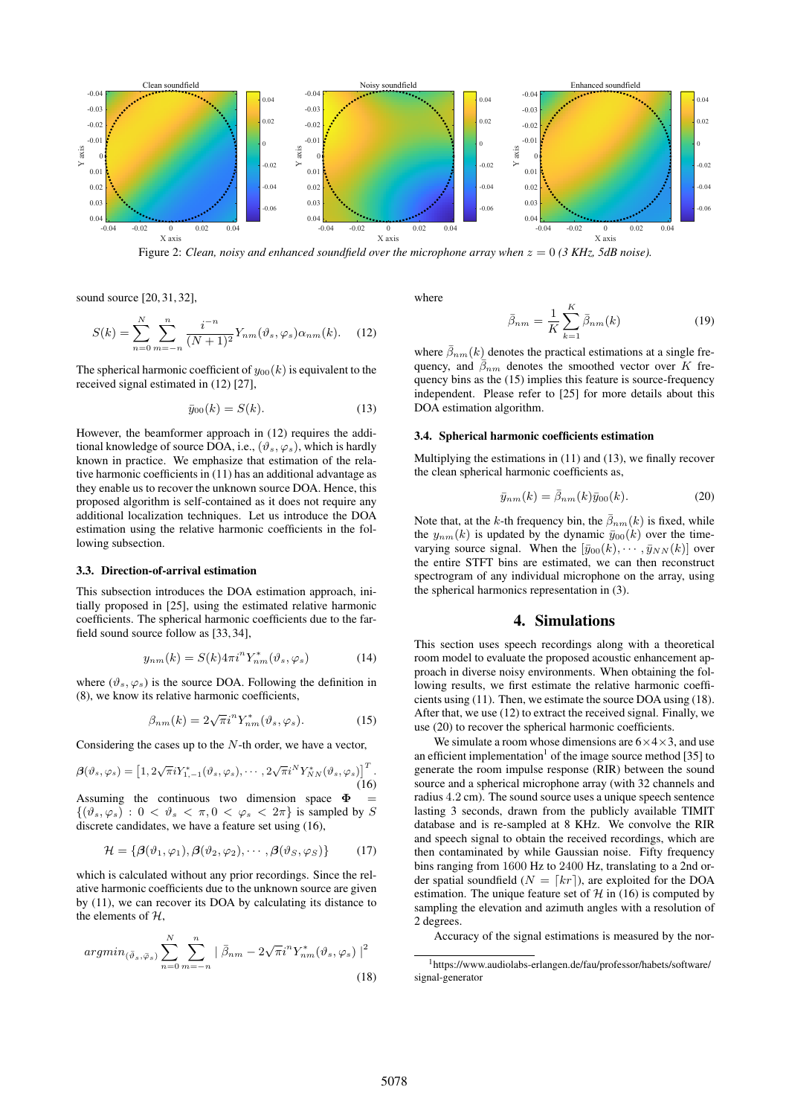

Figure 2: *Clean, noisy and enhanced soundfield over the microphone array when* z = 0 *(3 KHz, 5dB noise).*

sound source [20, 31, 32],

$$
S(k) = \sum_{n=0}^{N} \sum_{m=-n}^{n} \frac{i^{-n}}{(N+1)^2} Y_{nm}(\vartheta_s, \varphi_s) \alpha_{nm}(k).
$$
 (12)

The spherical harmonic coefficient of  $y_{00}(k)$  is equivalent to the received signal estimated in (12) [27],

$$
\bar{y}_{00}(k) = S(k). \tag{13}
$$

However, the beamformer approach in (12) requires the additional knowledge of source DOA, i.e.,  $(\vartheta_s, \varphi_s)$ , which is hardly known in practice. We emphasize that estimation of the relative harmonic coefficients in (11) has an additional advantage as they enable us to recover the unknown source DOA. Hence, this proposed algorithm is self-contained as it does not require any additional localization techniques. Let us introduce the DOA estimation using the relative harmonic coefficients in the following subsection.

#### 3.3. Direction-of-arrival estimation

This subsection introduces the DOA estimation approach, initially proposed in [25], using the estimated relative harmonic coefficients. The spherical harmonic coefficients due to the farfield sound source follow as [33, 34],

$$
y_{nm}(k) = S(k)4\pi i^{n} Y_{nm}^{*}(\vartheta_{s}, \varphi_{s})
$$
 (14)

where  $(\vartheta_s, \varphi_s)$  is the source DOA. Following the definition in (8), we know its relative harmonic coefficients,

$$
\beta_{nm}(k) = 2\sqrt{\pi}i^n Y_{nm}^*(\vartheta_s, \varphi_s). \tag{15}
$$

Considering the cases up to the  $N$ -th order, we have a vector,

$$
\boldsymbol{\beta}(\vartheta_s, \varphi_s) = \left[1, 2\sqrt{\pi}iY_{1,-1}^*(\vartheta_s, \varphi_s), \cdots, 2\sqrt{\pi}i^NY_{NN}^*(\vartheta_s, \varphi_s)\right]^T.
$$
\n(16)

Assuming the continuous two dimension space  $\Phi$  $\{(\vartheta_s, \varphi_s): 0 < \vartheta_s < \pi, 0 < \varphi_s < 2\pi\}$  is sampled by S discrete candidates, we have a feature set using (16),

$$
\mathcal{H} = \{ \boldsymbol{\beta}(\vartheta_1, \varphi_1), \boldsymbol{\beta}(\vartheta_2, \varphi_2), \cdots, \boldsymbol{\beta}(\vartheta_S, \varphi_S) \} \tag{17}
$$

which is calculated without any prior recordings. Since the relative harmonic coefficients due to the unknown source are given by (11), we can recover its DOA by calculating its distance to the elements of  $H$ ,

$$
argmin_{(\bar{\vartheta}_s, \bar{\varphi}_s)} \sum_{n=0}^{N} \sum_{m=-n}^{n} | \bar{\beta}_{nm} - 2\sqrt{\pi} i^n Y_{nm}^*(\vartheta_s, \varphi_s) |^{2}
$$
\n(18)

where

$$
\bar{\beta}_{nm} = \frac{1}{K} \sum_{k=1}^{K} \bar{\beta}_{nm}(k)
$$
\n(19)

where  $\bar{\beta}_{nm}(k)$  denotes the practical estimations at a single frequency, and  $\bar{\beta}_{nm}$  denotes the smoothed vector over K frequency bins as the (15) implies this feature is source-frequency independent. Please refer to [25] for more details about this DOA estimation algorithm.

#### 3.4. Spherical harmonic coefficients estimation

Multiplying the estimations in (11) and (13), we finally recover the clean spherical harmonic coefficients as,

$$
\bar{y}_{nm}(k) = \bar{\beta}_{nm}(k)\bar{y}_{00}(k). \tag{20}
$$

Note that, at the k-th frequency bin, the  $\bar{\beta}_{nm}(k)$  is fixed, while the  $y_{nm}(k)$  is updated by the dynamic  $\bar{y}_{00}(k)$  over the timevarying source signal. When the  $[\bar{y}_{00}(k), \cdots, \bar{y}_{NN}(k)]$  over the entire STFT bins are estimated, we can then reconstruct spectrogram of any individual microphone on the array, using the spherical harmonics representation in (3).

# 4. Simulations

This section uses speech recordings along with a theoretical room model to evaluate the proposed acoustic enhancement approach in diverse noisy environments. When obtaining the following results, we first estimate the relative harmonic coefficients using (11). Then, we estimate the source DOA using (18). After that, we use (12) to extract the received signal. Finally, we use (20) to recover the spherical harmonic coefficients.

We simulate a room whose dimensions are  $6\times4\times3$ , and use an efficient implementation<sup>1</sup> of the image source method [35] to generate the room impulse response (RIR) between the sound source and a spherical microphone array (with 32 channels and radius <sup>4</sup>.<sup>2</sup> cm). The sound source uses a unique speech sentence lasting 3 seconds, drawn from the publicly available TIMIT database and is re-sampled at 8 KHz. We convolve the RIR and speech signal to obtain the received recordings, which are then contaminated by while Gaussian noise. Fifty frequency bins ranging from 1600 Hz to 2400 Hz, translating to a 2nd order spatial soundfield  $(N = \lceil kr \rceil)$ , are exploited for the DOA estimation. The unique feature set of  $H$  in (16) is computed by sampling the elevation and azimuth angles with a resolution of 2 degrees.

Accuracy of the signal estimations is measured by the nor-

<sup>1</sup>https://www.audiolabs-erlangen.de/fau/professor/habets/software/ signal-generator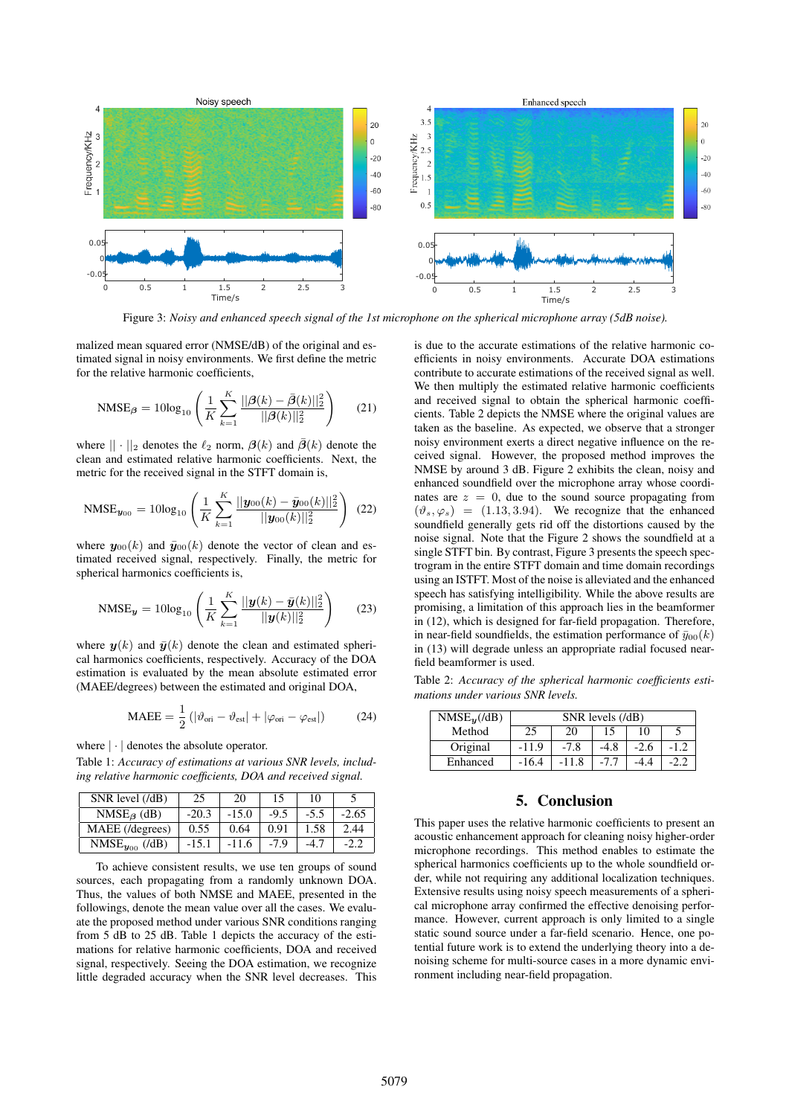

Figure 3: *Noisy and enhanced speech signal of the 1st microphone on the spherical microphone array (5dB noise).*

malized mean squared error (NMSE/dB) of the original and estimated signal in noisy environments. We first define the metric for the relative harmonic coefficients,

$$
\text{NMSE}_{\beta} = 10\log_{10}\left(\frac{1}{K}\sum_{k=1}^{K}\frac{||\beta(k) - \bar{\beta}(k)||_2^2}{||\beta(k)||_2^2}\right) \tag{21}
$$

where  $|| \cdot ||_2$  denotes the  $\ell_2$  norm,  $\beta(k)$  and  $\overline{\beta}(k)$  denote the clean and estimated relative harmonic coefficients. Next, the clean and estimated relative harmonic coefficients. Next, the metric for the received signal in the STFT domain is,

$$
\text{NMSE}_{\mathbf{y}_{00}} = 10\log_{10}\left(\frac{1}{K}\sum_{k=1}^{K}\frac{||\mathbf{y}_{00}(k) - \bar{\mathbf{y}}_{00}(k)||_2^2}{||\mathbf{y}_{00}(k)||_2^2}\right) (22)
$$

where  $y_{00}(k)$  and  $\bar{y}_{00}(k)$  denote the vector of clean and estimated received signal, respectively. Finally, the metric for spherical harmonics coefficients is,

$$
\text{NMSE}_{\boldsymbol{y}} = 10\log_{10}\left(\frac{1}{K}\sum_{k=1}^{K}\frac{||\boldsymbol{y}(k) - \bar{\boldsymbol{y}}(k)||_2^2}{||\boldsymbol{y}(k)||_2^2}\right) \tag{23}
$$

where  $y(k)$  and  $\bar{y}(k)$  denote the clean and estimated spherical harmonics coefficients, respectively. Accuracy of the DOA estimation is evaluated by the mean absolute estimated error (MAEE/degrees) between the estimated and original DOA,

$$
\text{MAEE} = \frac{1}{2} \left( |\vartheta_{\text{ori}} - \vartheta_{\text{est}}| + |\varphi_{\text{ori}} - \varphi_{\text{est}}| \right) \tag{24}
$$

#### where |·| denotes the absolute operator.

Table 1: *Accuracy of estimations at various SNR levels, including relative harmonic coefficients, DOA and received signal.*

| SNR level (/dB)       | 25      | 20      | 15     | 10     |         |
|-----------------------|---------|---------|--------|--------|---------|
| $NMSE_{\beta}$ (dB)   | $-20.3$ | $-15.0$ | $-9.5$ | $-5.5$ | $-2.65$ |
| MAEE (/degrees)       | 0.55    | 0.64    | 0.91   | 1.58   | 2.44    |
| $NMSE_{y_{00}}$ (/dB) | $-15.1$ | $-11.6$ | $-7.9$ | -4.7   | -2.2    |

To achieve consistent results, we use ten groups of sound sources, each propagating from a randomly unknown DOA. Thus, the values of both NMSE and MAEE, presented in the followings, denote the mean value over all the cases. We evaluate the proposed method under various SNR conditions ranging from 5 dB to 25 dB. Table 1 depicts the accuracy of the estimations for relative harmonic coefficients, DOA and received signal, respectively. Seeing the DOA estimation, we recognize little degraded accuracy when the SNR level decreases. This is due to the accurate estimations of the relative harmonic coefficients in noisy environments. Accurate DOA estimations contribute to accurate estimations of the received signal as well. We then multiply the estimated relative harmonic coefficients and received signal to obtain the spherical harmonic coefficients. Table 2 depicts the NMSE where the original values are taken as the baseline. As expected, we observe that a stronger noisy environment exerts a direct negative influence on the received signal. However, the proposed method improves the NMSE by around 3 dB. Figure 2 exhibits the clean, noisy and enhanced soundfield over the microphone array whose coordinates are  $z = 0$ , due to the sound source propagating from  $(\vartheta_s, \varphi_s)$  = (1.13, 3.94). We recognize that the enhanced soundfield generally gets rid off the distortions caused by the noise signal. Note that the Figure 2 shows the soundfield at a single STFT bin. By contrast, Figure 3 presents the speech spectrogram in the entire STFT domain and time domain recordings using an ISTFT. Most of the noise is alleviated and the enhanced speech has satisfying intelligibility. While the above results are promising, a limitation of this approach lies in the beamformer in (12), which is designed for far-field propagation. Therefore, in near-field soundfields, the estimation performance of  $\bar{y}_{00}(k)$ in (13) will degrade unless an appropriate radial focused nearfield beamformer is used.

Table 2: *Accuracy of the spherical harmonic coefficients estimations under various SNR levels.*

| $NMSE_{\boldsymbol{y}}$ (/dB) | SNR levels (/dB) |         |        |        |        |  |  |
|-------------------------------|------------------|---------|--------|--------|--------|--|--|
| Method                        | 25               | 20      |        | 10     |        |  |  |
| Original                      | $-11.9$          | $-7.8$  | $-4.8$ | $-2.6$ | $-1.2$ |  |  |
| Enhanced                      | $-16.4$          | $-11.8$ |        |        |        |  |  |

# 5. Conclusion

This paper uses the relative harmonic coefficients to present an acoustic enhancement approach for cleaning noisy higher-order microphone recordings. This method enables to estimate the spherical harmonics coefficients up to the whole soundfield order, while not requiring any additional localization techniques. Extensive results using noisy speech measurements of a spherical microphone array confirmed the effective denoising performance. However, current approach is only limited to a single static sound source under a far-field scenario. Hence, one potential future work is to extend the underlying theory into a denoising scheme for multi-source cases in a more dynamic environment including near-field propagation.